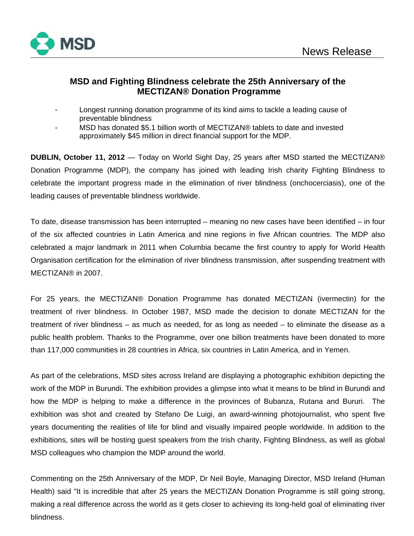

# **MSD and Fighting Blindness celebrate the 25th Anniversary of the MECTIZAN® Donation Programme**

- Longest running donation programme of its kind aims to tackle a leading cause of preventable blindness
- MSD has donated \$5.1 billion worth of MECTIZAN® tablets to date and invested approximately \$45 million in direct financial support for the MDP.

**DUBLIN, October 11, 2012** — Today on World Sight Day, 25 years after MSD started the MECTIZAN® Donation Programme (MDP), the company has joined with leading Irish charity Fighting Blindness to celebrate the important progress made in the elimination of river blindness (onchocerciasis), one of the leading causes of preventable blindness worldwide.

To date, disease transmission has been interrupted – meaning no new cases have been identified – in four of the six affected countries in Latin America and nine regions in five African countries. The MDP also celebrated a major landmark in 2011 when Columbia became the first country to apply for World Health Organisation certification for the elimination of river blindness transmission, after suspending treatment with MECTIZAN® in 2007.

For 25 years, the MECTIZAN® Donation Programme has donated MECTIZAN (ivermectin) for the treatment of river blindness. In October 1987, MSD made the decision to donate MECTIZAN for the treatment of river blindness – as much as needed, for as long as needed – to eliminate the disease as a public health problem. Thanks to the Programme, over one billion treatments have been donated to more than 117,000 communities in 28 countries in Africa, six countries in Latin America, and in Yemen.

As part of the celebrations, MSD sites across Ireland are displaying a photographic exhibition depicting the work of the MDP in Burundi. The exhibition provides a glimpse into what it means to be blind in Burundi and how the MDP is helping to make a difference in the provinces of Bubanza, Rutana and Bururi. The exhibition was shot and created by Stefano De Luigi, an award-winning photojournalist, who spent five years documenting the realities of life for blind and visually impaired people worldwide. In addition to the exhibitions, sites will be hosting guest speakers from the Irish charity, Fighting Blindness, as well as global MSD colleagues who champion the MDP around the world.

Commenting on the 25th Anniversary of the MDP, Dr Neil Boyle, Managing Director, MSD Ireland (Human Health) said "It is incredible that after 25 years the MECTIZAN Donation Programme is still going strong, making a real difference across the world as it gets closer to achieving its long-held goal of eliminating river blindness.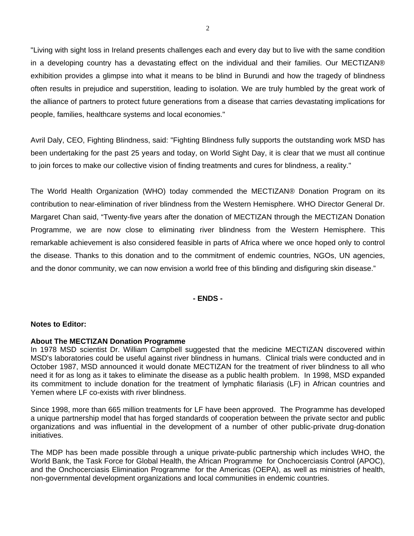"Living with sight loss in Ireland presents challenges each and every day but to live with the same condition in a developing country has a devastating effect on the individual and their families. Our MECTIZAN® exhibition provides a glimpse into what it means to be blind in Burundi and how the tragedy of blindness often results in prejudice and superstition, leading to isolation. We are truly humbled by the great work of the alliance of partners to protect future generations from a disease that carries devastating implications for people, families, healthcare systems and local economies."

Avril Daly, CEO, Fighting Blindness, said: "Fighting Blindness fully supports the outstanding work MSD has been undertaking for the past 25 years and today, on World Sight Day, it is clear that we must all continue to join forces to make our collective vision of finding treatments and cures for blindness, a reality."

The World Health Organization (WHO) today commended the MECTIZAN® Donation Program on its contribution to near-elimination of river blindness from the Western Hemisphere. WHO Director General Dr. Margaret Chan said, "Twenty-five years after the donation of MECTIZAN through the MECTIZAN Donation Programme, we are now close to eliminating river blindness from the Western Hemisphere. This remarkable achievement is also considered feasible in parts of Africa where we once hoped only to control the disease. Thanks to this donation and to the commitment of endemic countries, NGOs, UN agencies, and the donor community, we can now envision a world free of this blinding and disfiguring skin disease."

# **- ENDS -**

# **Notes to Editor:**

### **About The MECTIZAN Donation Programme**

In 1978 MSD scientist Dr. William Campbell suggested that the medicine MECTIZAN discovered within MSD's laboratories could be useful against river blindness in humans. Clinical trials were conducted and in October 1987, MSD announced it would donate MECTIZAN for the treatment of river blindness to all who need it for as long as it takes to eliminate the disease as a public health problem. In 1998, MSD expanded its commitment to include donation for the treatment of lymphatic filariasis (LF) in African countries and Yemen where LF co-exists with river blindness.

Since 1998, more than 665 million treatments for LF have been approved. The Programme has developed a unique partnership model that has forged standards of cooperation between the private sector and public organizations and was influential in the development of a number of other public-private drug-donation initiatives.

The MDP has been made possible through a unique private-public partnership which includes WHO, the World Bank, the Task Force for Global Health, the African Programme for Onchocerciasis Control (APOC), and the Onchocerciasis Elimination Programme for the Americas (OEPA), as well as ministries of health, non-governmental development organizations and local communities in endemic countries.